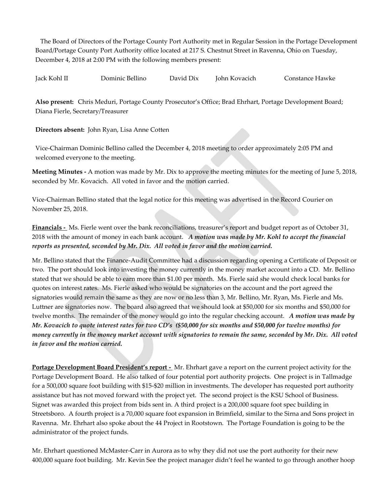The Board of Directors of the Portage County Port Authority met in Regular Session in the Portage Development Board/Portage County Port Authority office located at 217 S. Chestnut Street in Ravenna, Ohio on Tuesday, December 4, 2018 at 2:00 PM with the following members present:

Jack Kohl II Dominic Bellino David Dix John Kovacich Constance Hawke

**Also present:** Chris Meduri, Portage County Prosecutor's Office; Brad Ehrhart, Portage Development Board; Diana Fierle, Secretary/Treasurer

**Directors absent:** John Ryan, Lisa Anne Cotten

Vice-Chairman Dominic Bellino called the December 4, 2018 meeting to order approximately 2:05 PM and welcomed everyone to the meeting.

**Meeting Minutes -** A motion was made by Mr. Dix to approve the meeting minutes for the meeting of June 5, 2018, seconded by Mr. Kovacich. All voted in favor and the motion carried.

Vice-Chairman Bellino stated that the legal notice for this meeting was advertised in the Record Courier on November 25, 2018.

**Financials -** Ms. Fierle went over the bank reconciliations, treasurer's report and budget report as of October 31, 2018 with the amount of money in each bank account. *A motion was made by Mr. Kohl to accept the financial reports as presented, seconded by Mr. Dix. All voted in favor and the motion carried.*

Mr. Bellino stated that the Finance-Audit Committee had a discussion regarding opening a Certificate of Deposit or two. The port should look into investing the money currently in the money market account into a CD. Mr. Bellino stated that we should be able to earn more than \$1.00 per month. Ms. Fierle said she would check local banks for quotes on interest rates. Ms. Fierle asked who would be signatories on the account and the port agreed the signatories would remain the same as they are now or no less than 3, Mr. Bellino, Mr. Ryan, Ms. Fierle and Ms. Luttner are signatories now. The board also agreed that we should look at \$50,000 for six months and \$50,000 for twelve months. The remainder of the money would go into the regular checking account. *A motion was made by Mr. Kovacich to quote interest rates for two CD's (\$50,000 for six months and \$50,000 for twelve months) for money currently in the money market account with signatories to remain the same, seconded by Mr. Dix. All voted in favor and the motion carried.* 

**Portage Development Board President's report -** Mr. Ehrhart gave a report on the current project activity for the Portage Development Board. He also talked of four potential port authority projects. One project is in Tallmadge for a 500,000 square foot building with \$15-\$20 million in investments. The developer has requested port authority assistance but has not moved forward with the project yet. The second project is the KSU School of Business. Signet was awarded this project from bids sent in. A third project is a 200,000 square foot spec building in Streetsboro. A fourth project is a 70,000 square foot expansion in Brimfield, similar to the Sirna and Sons project in Ravenna. Mr. Ehrhart also spoke about the 44 Project in Rootstown. The Portage Foundation is going to be the administrator of the project funds.

Mr. Ehrhart questioned McMaster-Carr in Aurora as to why they did not use the port authority for their new 400,000 square foot building. Mr. Kevin See the project manager didn't feel he wanted to go through another hoop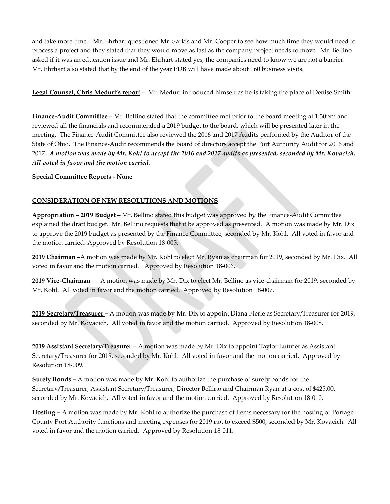and take more time. Mr. Ehrhart questioned Mr. Sarkis and Mr. Cooper to see how much time they would need to process a project and they stated that they would move as fast as the company project needs to move. Mr. Bellino asked if it was an education issue and Mr. Ehrhart stated yes, the companies need to know we are not a barrier. Mr. Ehrhart also stated that by the end of the year PDB will have made about 160 business visits.

**Legal Counsel, Chris Meduri's report** – Mr. Meduri introduced himself as he is taking the place of Denise Smith.

**Finance-Audit Committee** – Mr. Bellino stated that the committee met prior to the board meeting at 1:30pm and reviewed all the financials and recommended a 2019 budget to the board, which will be presented later in the meeting. The Finance-Audit Committee also reviewed the 2016 and 2017 Audits performed by the Auditor of the State of Ohio. The Finance-Audit recommends the board of directors accept the Port Authority Audit for 2016 and 2017. *A motion was made by Mr. Kohl to accept the 2016 and 2017 audits as presented, seconded by Mr. Kovacich. All voted in favor and the motion carried.*

**Special Committee Reports - None**

### **CONSIDERATION OF NEW RESOLUTIONS AND MOTIONS**

**Appropriation – 2019 Budget** – Mr. Bellino stated this budget was approved by the Finance-Audit Committee explained the draft budget. Mr. Bellino requests that it be approved as presented. A motion was made by Mr. Dix to approve the 2019 budget as presented by the Finance Committee, seconded by Mr. Kohl. All voted in favor and the motion carried. Approved by Resolution 18-005.

**2019 Chairman** –A motion was made by Mr. Kohl to elect Mr. Ryan as chairman for 2019, seconded by Mr. Dix. All voted in favor and the motion carried.Approved by Resolution 18-006.

**2019 Vice-Chairman** *–* A motion was made by Mr. Dix to elect Mr. Bellino as vice-chairman for 2019, seconded by Mr. Kohl. All voted in favor and the motion carried.Approved by Resolution 18-007.

**2019 Secretary/Treasurer –** A motion was made by Mr. Dix to appoint Diana Fierle as Secretary/Treasurer for 2019, seconded by Mr. Kovacich. All voted in favor and the motion carried. Approved by Resolution 18-008.

**2019 Assistant Secretary/Treasurer** – A motion was made by Mr. Dix to appoint Taylor Luttner as Assistant Secretary/Treasurer for 2019, seconded by Mr. Kohl. All voted in favor and the motion carried. Approved by Resolution 18-009.

**Surety Bonds –** A motion was made by Mr. Kohl to authorize the purchase of surety bonds for the Secretary/Treasurer, Assistant Secretary/Treasurer, Director Bellino and Chairman Ryan at a cost of \$425.00, seconded by Mr. Kovacich. All voted in favor and the motion carried. Approved by Resolution 18-010.

**Hosting –** A motion was made by Mr. Kohl to authorize the purchase of items necessary for the hosting of Portage County Port Authority functions and meeting expenses for 2019 not to exceed \$500, seconded by Mr. Kovacich. All voted in favor and the motion carried. Approved by Resolution 18-011.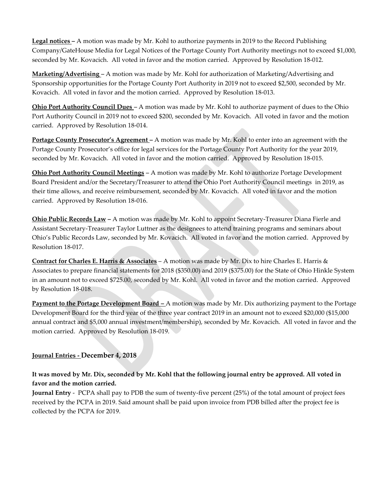**Legal notices –** A motion was made by Mr. Kohl to authorize payments in 2019 to the Record Publishing Company/GateHouse Media for Legal Notices of the Portage County Port Authority meetings not to exceed \$1,000, seconded by Mr. Kovacich. All voted in favor and the motion carried. Approved by Resolution 18-012.

**Marketing/Advertising** *–* A motion was made by Mr. Kohl for authorization of Marketing/Advertising and Sponsorship opportunities for the Portage County Port Authority in 2019 not to exceed \$2,500, seconded by Mr. Kovacich. All voted in favor and the motion carried. Approved by Resolution 18-013.

**Ohio Port Authority Council Dues** *–* A motion was made by Mr. Kohl to authorize payment of dues to the Ohio Port Authority Council in 2019 not to exceed \$200, seconded by Mr. Kovacich. All voted in favor and the motion carried. Approved by Resolution 18-014.

**Portage County Prosecutor's Agreement –** A motion was made by Mr. Kohl to enter into an agreement with the Portage County Prosecutor's office for legal services for the Portage County Port Authority for the year 2019, seconded by Mr. Kovacich. All voted in favor and the motion carried.Approved by Resolution 18-015.

**Ohio Port Authority Council Meetings** *–* A motion was made by Mr. Kohl to authorize Portage Development Board President and/or the Secretary/Treasurer to attend the Ohio Port Authority Council meetings in 2019, as their time allows, and receive reimbursement, seconded by Mr. Kovacich. All voted in favor and the motion carried. Approved by Resolution 18-016.

**Ohio Public Records Law –** A motion was made by Mr. Kohl to appoint Secretary-Treasurer Diana Fierle and Assistant Secretary-Treasurer Taylor Luttner as the designees to attend training programs and seminars about Ohio's Public Records Law, seconded by Mr. Kovacich. All voted in favor and the motion carried. Approved by Resolution 18-017.

**Contract for Charles E. Harris & Associates** – A motion was made by Mr. Dix to hire Charles E. Harris & Associates to prepare financial statements for 2018 (\$350.00) and 2019 (\$375.00) for the State of Ohio Hinkle System in an amount not to exceed \$725.00, seconded by Mr. Kohl. All voted in favor and the motion carried. Approved by Resolution 18-018.

**Payment to the Portage Development Board –** A motion was made by Mr. Dix authorizing payment to the Portage Development Board for the third year of the three year contract 2019 in an amount not to exceed \$20,000 (\$15,000 annual contract and \$5,000 annual investment/membership), seconded by Mr. Kovacich. All voted in favor and the motion carried. Approved by Resolution 18-019.

### **Journal Entries - December 4, 2018**

**It was moved by Mr. Dix, seconded by Mr. Kohl that the following journal entry be approved. All voted in favor and the motion carried.**

**Journal Entry** - PCPA shall pay to PDB the sum of twenty-five percent (25%) of the total amount of project fees received by the PCPA in 2019. Said amount shall be paid upon invoice from PDB billed after the project fee is collected by the PCPA for 2019.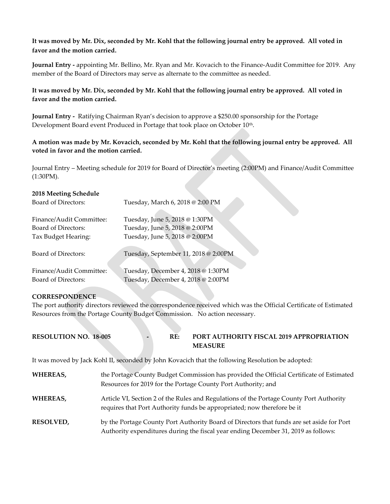### **It was moved by Mr. Dix, seconded by Mr. Kohl that the following journal entry be approved. All voted in favor and the motion carried.**

**Journal Entry -** appointing Mr. Bellino, Mr. Ryan and Mr. Kovacich to the Finance-Audit Committee for 2019. Any member of the Board of Directors may serve as alternate to the committee as needed.

### **It was moved by Mr. Dix, seconded by Mr. Kohl that the following journal entry be approved. All voted in favor and the motion carried.**

**Journal Entry -** Ratifying Chairman Ryan's decision to approve a \$250.00 sponsorship for the Portage Development Board event Produced in Portage that took place on October 10<sup>th</sup>.

### **A motion was made by Mr. Kovacich, seconded by Mr. Kohl that the following journal entry be approved. All voted in favor and the motion carried.**

Journal Entry – Meeting schedule for 2019 for Board of Director's meeting (2:00PM) and Finance/Audit Committee (1:30PM).

# **2018 Meeting Schedule**

| Board of Directors:      | Tuesday, March 6, 2018 @ 2:00 PM     |
|--------------------------|--------------------------------------|
| Finance/Audit Committee: | Tuesday, June 5, 2018 @ 1:30PM       |
| Board of Directors:      | Tuesday, June 5, 2018 @ 2:00PM       |
| Tax Budget Hearing:      | Tuesday, June 5, 2018 @ 2:00PM       |
| Board of Directors:      | Tuesday, September 11, 2018 @ 2:00PM |
| Finance/Audit Committee: | Tuesday, December 4, 2018 @ 1:30PM   |
| Board of Directors:      | Tuesday, December 4, 2018 @ 2:00PM   |

### **CORRESPONDENCE**

The port authority directors reviewed the correspondence received which was the Official Certificate of Estimated Resources from the Portage County Budget Commission. No action necessary.

| <b>RESOLUTION NO. 18-005</b> |  | <b>PORT AUTHORITY FISCAL 2019 APPROPRIATION</b> |
|------------------------------|--|-------------------------------------------------|
|                              |  | <b>MEASURE</b>                                  |

It was moved by Jack Kohl II, seconded by John Kovacich that the following Resolution be adopted:

| <b>WHEREAS,</b>  | the Portage County Budget Commission has provided the Official Certificate of Estimated<br>Resources for 2019 for the Portage County Port Authority; and                        |
|------------------|---------------------------------------------------------------------------------------------------------------------------------------------------------------------------------|
| <b>WHEREAS,</b>  | Article VI, Section 2 of the Rules and Regulations of the Portage County Port Authority<br>requires that Port Authority funds be appropriated; now therefore be it              |
| <b>RESOLVED,</b> | by the Portage County Port Authority Board of Directors that funds are set aside for Port<br>Authority expenditures during the fiscal year ending December 31, 2019 as follows: |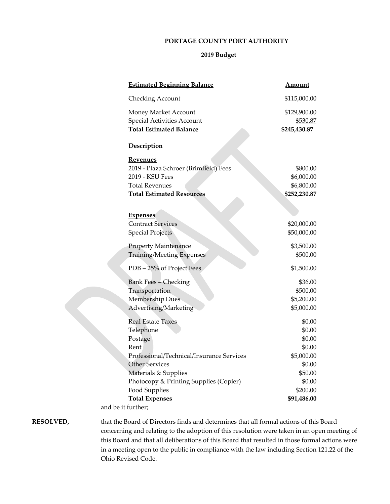#### **PORTAGE COUNTY PORT AUTHORITY**

## **2019 Budget**

|                  | <b>Estimated Beginning Balance</b>                                                                                                                                                                                                                                                                                                                                                                                                                          | Amount       |  |
|------------------|-------------------------------------------------------------------------------------------------------------------------------------------------------------------------------------------------------------------------------------------------------------------------------------------------------------------------------------------------------------------------------------------------------------------------------------------------------------|--------------|--|
|                  | Checking Account                                                                                                                                                                                                                                                                                                                                                                                                                                            | \$115,000.00 |  |
|                  | Money Market Account                                                                                                                                                                                                                                                                                                                                                                                                                                        | \$129,900.00 |  |
|                  | Special Activities Account                                                                                                                                                                                                                                                                                                                                                                                                                                  | \$530.87     |  |
|                  | <b>Total Estimated Balance</b>                                                                                                                                                                                                                                                                                                                                                                                                                              | \$245,430.87 |  |
|                  | Description                                                                                                                                                                                                                                                                                                                                                                                                                                                 |              |  |
|                  | <b>Revenues</b>                                                                                                                                                                                                                                                                                                                                                                                                                                             |              |  |
|                  | 2019 - Plaza Schroer (Brimfield) Fees                                                                                                                                                                                                                                                                                                                                                                                                                       | \$800.00     |  |
|                  | 2019 - KSU Fees                                                                                                                                                                                                                                                                                                                                                                                                                                             | \$6,000.00   |  |
|                  | <b>Total Revenues</b>                                                                                                                                                                                                                                                                                                                                                                                                                                       | \$6,800.00   |  |
|                  | <b>Total Estimated Resources</b>                                                                                                                                                                                                                                                                                                                                                                                                                            | \$252,230.87 |  |
|                  | <b>Expenses</b>                                                                                                                                                                                                                                                                                                                                                                                                                                             |              |  |
|                  | <b>Contract Services</b>                                                                                                                                                                                                                                                                                                                                                                                                                                    | \$20,000.00  |  |
|                  | <b>Special Projects</b>                                                                                                                                                                                                                                                                                                                                                                                                                                     | \$50,000.00  |  |
|                  | Property Maintenance                                                                                                                                                                                                                                                                                                                                                                                                                                        | \$3,500.00   |  |
|                  | <b>Training/Meeting Expenses</b>                                                                                                                                                                                                                                                                                                                                                                                                                            | \$500.00     |  |
|                  | PDB – 25% of Project Fees                                                                                                                                                                                                                                                                                                                                                                                                                                   | \$1,500.00   |  |
|                  | <b>Bank Fees - Checking</b>                                                                                                                                                                                                                                                                                                                                                                                                                                 | \$36.00      |  |
|                  | Transportation                                                                                                                                                                                                                                                                                                                                                                                                                                              | \$500.00     |  |
|                  | Membership Dues                                                                                                                                                                                                                                                                                                                                                                                                                                             | \$5,200.00   |  |
|                  | Advertising/Marketing                                                                                                                                                                                                                                                                                                                                                                                                                                       | \$5,000.00   |  |
|                  | <b>Real Estate Taxes</b>                                                                                                                                                                                                                                                                                                                                                                                                                                    | \$0.00       |  |
|                  | Telephone                                                                                                                                                                                                                                                                                                                                                                                                                                                   | \$0.00       |  |
|                  | Postage                                                                                                                                                                                                                                                                                                                                                                                                                                                     | \$0.00       |  |
|                  | Rent                                                                                                                                                                                                                                                                                                                                                                                                                                                        | \$0.00       |  |
|                  | Professional/Technical/Insurance Services                                                                                                                                                                                                                                                                                                                                                                                                                   | \$5,000.00   |  |
|                  | Other Services                                                                                                                                                                                                                                                                                                                                                                                                                                              | \$0.00       |  |
|                  | Materials & Supplies                                                                                                                                                                                                                                                                                                                                                                                                                                        | \$50.00      |  |
|                  | Photocopy & Printing Supplies (Copier)                                                                                                                                                                                                                                                                                                                                                                                                                      | \$0.00       |  |
|                  | Food Supplies                                                                                                                                                                                                                                                                                                                                                                                                                                               | \$200.00     |  |
|                  | <b>Total Expenses</b>                                                                                                                                                                                                                                                                                                                                                                                                                                       | \$91,486.00  |  |
|                  | and be it further;                                                                                                                                                                                                                                                                                                                                                                                                                                          |              |  |
| <b>RESOLVED,</b> | that the Board of Directors finds and determines that all formal actions of this Board                                                                                                                                                                                                                                                                                                                                                                      |              |  |
|                  | concerning and relating to the adoption of this resolution were taken in an open mee                                                                                                                                                                                                                                                                                                                                                                        |              |  |
|                  | $\mathbf{d} \cdot \mathbf{n} = \mathbf{1} - \mathbf{1} \cdot \mathbf{d} + \mathbf{1} \cdot \mathbf{1} + \mathbf{1} \cdot \mathbf{1} + \mathbf{1} \cdot \mathbf{1} + \mathbf{1} \cdot \mathbf{1} + \mathbf{1} \cdot \mathbf{1} + \mathbf{1} \cdot \mathbf{1} + \mathbf{1} \cdot \mathbf{1} + \mathbf{1} \cdot \mathbf{1} + \mathbf{1} \cdot \mathbf{1} + \mathbf{1} \cdot \mathbf{1} + \mathbf{1} \cdot \mathbf{1} + \mathbf{1} \cdot \mathbf{1} + \mathbf{$ |              |  |

en meeting of this Board and that all deliberations of this Board that resulted in those formal actions were in a meeting open to the public in compliance with the law including Section 121.22 of the Ohio Revised Code.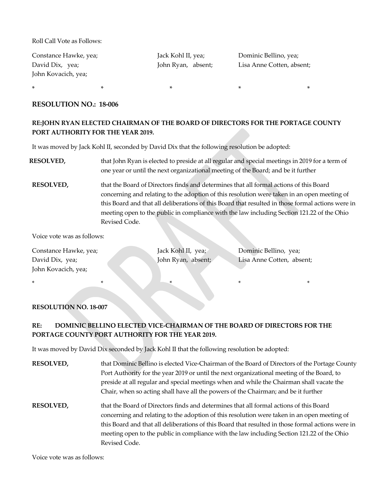Roll Call Vote as Follows:

| Constance Hawke, yea; | Jack Kohl II, yea; | Dominic Bellino, yea;     |
|-----------------------|--------------------|---------------------------|
| David Dix, yea;       | John Ryan, absent; | Lisa Anne Cotten, absent; |
| John Kovacich, yea;   |                    |                           |

 $\ast$  \*  $\ast$  \*  $\ast$  \*  $\ast$  \*

#### **RESOLUTION NO.: 18-006**

### **RE:JOHN RYAN ELECTED CHAIRMAN OF THE BOARD OF DIRECTORS FOR THE PORTAGE COUNTY PORT AUTHORITY FOR THE YEAR 2019.**

It was moved by Jack Kohl II, seconded by David Dix that the following resolution be adopted:

- **RESOLVED,** that John Ryan is elected to preside at all regular and special meetings in 2019 for a term of one year or until the next organizational meeting of the Board; and be it further
- **RESOLVED,** that the Board of Directors finds and determines that all formal actions of this Board concerning and relating to the adoption of this resolution were taken in an open meeting of this Board and that all deliberations of this Board that resulted in those formal actions were in meeting open to the public in compliance with the law including Section 121.22 of the Ohio Revised Code.

Voice vote was as follows:

Constance Hawke, yea; Jack Kohl II, yea; Dominic Bellino, yea; David Dix, yea; John Ryan, absent; Lisa Anne Cotten, absent; John Kovacich, yea;

\* \* \* \* \*

#### **RESOLUTION NO. 18-007**

## **RE: DOMINIC BELLINO ELECTED VICE-CHAIRMAN OF THE BOARD OF DIRECTORS FOR THE PORTAGE COUNTY PORT AUTHORITY FOR THE YEAR 2019.**

It was moved by David Dix seconded by Jack Kohl II that the following resolution be adopted:

| <b>RESOLVED,</b> | that Dominic Bellino is elected Vice-Chairman of the Board of Directors of the Portage County                                                                                         |
|------------------|---------------------------------------------------------------------------------------------------------------------------------------------------------------------------------------|
|                  | Port Authority for the year 2019 or until the next organizational meeting of the Board, to                                                                                            |
|                  | preside at all regular and special meetings when and while the Chairman shall vacate the                                                                                              |
|                  | Chair, when so acting shall have all the powers of the Chairman; and be it further                                                                                                    |
| <b>RESOLVED,</b> | that the Board of Directors finds and determines that all formal actions of this Board<br>concerning and relating to the adoption of this resolution were taken in an open meeting of |
|                  | this Board and that all deliberations of this Board that resulted in those formal actions were in                                                                                     |
|                  | meeting open to the public in compliance with the law including Section 121.22 of the Ohio                                                                                            |
|                  | Revised Code.                                                                                                                                                                         |

Voice vote was as follows: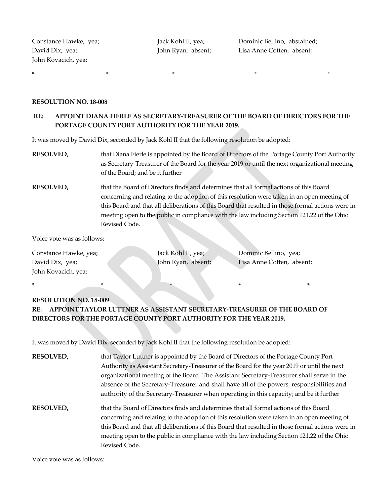John Kovacich, yea;

\* \* \* \* \*

Constance Hawke, yea; Jack Kohl II, yea; Dominic Bellino, abstained; David Dix, yea; John Ryan, absent; Lisa Anne Cotten, absent;

#### **RESOLUTION NO. 18-008**

### **RE: APPOINT DIANA FIERLE AS SECRETARY-TREASURER OF THE BOARD OF DIRECTORS FOR THE PORTAGE COUNTY PORT AUTHORITY FOR THE YEAR 2019.**

It was moved by David Dix, seconded by Jack Kohl II that the following resolution be adopted:

- **RESOLVED,** that Diana Fierle is appointed by the Board of Directors of the Portage County Port Authority as Secretary-Treasurer of the Board for the year 2019 or until the next organizational meeting of the Board; and be it further
- **RESOLVED,** that the Board of Directors finds and determines that all formal actions of this Board concerning and relating to the adoption of this resolution were taken in an open meeting of this Board and that all deliberations of this Board that resulted in those formal actions were in meeting open to the public in compliance with the law including Section 121.22 of the Ohio Revised Code.

Voice vote was as follows:

Constance Hawke, yea; Jack Kohl II, yea; Dominic Bellino, yea; David Dix, yea; John Ryan, absent; Lisa Anne Cotten, absent; John Kovacich, yea;

\* \* \* \* \*

# **RESOLUTION NO. 18-009 RE: APPOINT TAYLOR LUTTNER AS ASSISTANT SECRETARY-TREASURER OF THE BOARD OF DIRECTORS FOR THE PORTAGE COUNTY PORT AUTHORITY FOR THE YEAR 2019.**

It was moved by David Dix, seconded by Jack Kohl II that the following resolution be adopted:

| <b>RESOLVED,</b> | that Taylor Luttner is appointed by the Board of Directors of the Portage County Port             |
|------------------|---------------------------------------------------------------------------------------------------|
|                  | Authority as Assistant Secretary-Treasurer of the Board for the year 2019 or until the next       |
|                  | organizational meeting of the Board. The Assistant Secretary-Treasurer shall serve in the         |
|                  | absence of the Secretary-Treasurer and shall have all of the powers, responsibilities and         |
|                  | authority of the Secretary-Treasurer when operating in this capacity; and be it further           |
| <b>RESOLVED,</b> | that the Board of Directors finds and determines that all formal actions of this Board            |
|                  | concerning and relating to the adoption of this resolution were taken in an open meeting of       |
|                  | this Board and that all deliberations of this Board that resulted in those formal actions were in |
|                  | meeting open to the public in compliance with the law including Section 121.22 of the Ohio        |
|                  | Revised Code.                                                                                     |

Voice vote was as follows: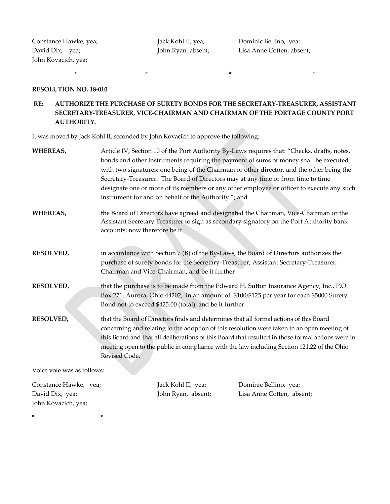Constance Hawke, yea; <br> Jack Kohl II, yea; <br> Dominic Bellino, yea; John Kovacich, yea;

David Dix, yea; John Ryan, absent; Lisa Anne Cotten, absent;

#### **RESOLUTION NO. 18-010**

\* \*

## **RE: AUTHORIZE THE PURCHASE OF SURETY BONDS FOR THE SECRETARY-TREASURER, ASSISTANT SECRETARY-TREASURER, VICE-CHAIRMAN AND CHAIRMAN OF THE PORTAGE COUNTY PORT AUTHORITY.**

 $\star$  \*  $\star$  \*  $\star$  \*  $\star$  \*  $\star$  \*

It was moved by Jack Kohl II, seconded by John Kovacich to approve the following:

| WHEREAS,                                                        | Article IV, Section 10 of the Port Authority By-Laws requires that: "Checks, drafts, notes,<br>bonds and other instruments requiring the payment of sums of money shall be executed<br>with two signatures: one being of the Chairman or other director, and the other being the<br>Secretary-Treasurer. The Board of Directors may at any time or from time to time<br>designate one or more of its members or any other employee or officer to execute any such<br>instrument for and on behalf of the Authority."; and |                                          |                                                                                                                                                                                 |
|-----------------------------------------------------------------|---------------------------------------------------------------------------------------------------------------------------------------------------------------------------------------------------------------------------------------------------------------------------------------------------------------------------------------------------------------------------------------------------------------------------------------------------------------------------------------------------------------------------|------------------------------------------|---------------------------------------------------------------------------------------------------------------------------------------------------------------------------------|
| WHEREAS,                                                        | accounts; now therefore be it                                                                                                                                                                                                                                                                                                                                                                                                                                                                                             |                                          | the Board of Directors have agreed and designated the Chairman, Vice-Chairman or the<br>Assistant Secretary Treasurer to sign as secondary signatory on the Port Authority bank |
| <b>RESOLVED,</b>                                                | in accordance with Section 7 (B) of the By-Laws, the Board of Directors authorizes the<br>purchase of surety bonds for the Secretary-Treasurer, Assistant Secretary-Treasurer,<br>Chairman and Vice-Chairman, and be it further                                                                                                                                                                                                                                                                                           |                                          |                                                                                                                                                                                 |
| RESOLVED,                                                       | that the purchase is to be made from the Edward H. Sutton Insurance Agency, Inc., P.O.<br>Box 271, Aurora, Ohio 44202, in an amount of \$100/\$125 per year for each \$5000 Surety<br>Bond not to exceed \$425.00 (total); and be it further                                                                                                                                                                                                                                                                              |                                          |                                                                                                                                                                                 |
| <b>RESOLVED,</b>                                                | that the Board of Directors finds and determines that all formal actions of this Board<br>concerning and relating to the adoption of this resolution were taken in an open meeting of<br>this Board and that all deliberations of this Board that resulted in those formal actions were in<br>meeting open to the public in compliance with the law including Section 121.22 of the Ohio<br>Revised Code.                                                                                                                 |                                          |                                                                                                                                                                                 |
| Voice vote was as follows:                                      |                                                                                                                                                                                                                                                                                                                                                                                                                                                                                                                           |                                          |                                                                                                                                                                                 |
| Constance Hawke, yea;<br>David Dix, yea;<br>John Kovacich, yea; |                                                                                                                                                                                                                                                                                                                                                                                                                                                                                                                           | Jack Kohl II, yea;<br>John Ryan, absent; | Dominic Bellino, yea;<br>Lisa Anne Cotten, absent;                                                                                                                              |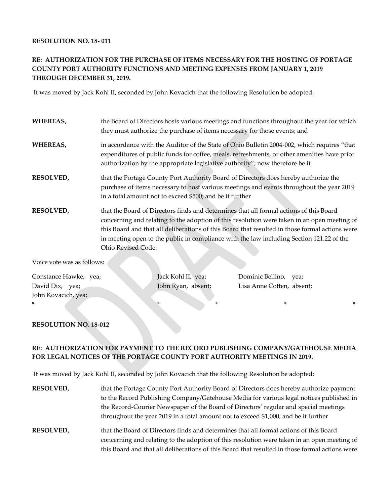#### **RESOLUTION NO. 18- 011**

## **RE: AUTHORIZATION FOR THE PURCHASE OF ITEMS NECESSARY FOR THE HOSTING OF PORTAGE COUNTY PORT AUTHORITY FUNCTIONS AND MEETING EXPENSES FROM JANUARY 1, 2019 THROUGH DECEMBER 31, 2019.**

It was moved by Jack Kohl II, seconded by John Kovacich that the following Resolution be adopted:

| <b>WHEREAS,</b>  | the Board of Directors hosts various meetings and functions throughout the year for which<br>they must authorize the purchase of items necessary for those events; and                                                                                                                                                                                                                                    |
|------------------|-----------------------------------------------------------------------------------------------------------------------------------------------------------------------------------------------------------------------------------------------------------------------------------------------------------------------------------------------------------------------------------------------------------|
| <b>WHEREAS,</b>  | in accordance with the Auditor of the State of Ohio Bulletin 2004-002, which requires "that<br>expenditures of public funds for coffee, meals, refreshments, or other amenities have prior<br>authorization by the appropriate legislative authority"; now therefore be it                                                                                                                                |
| <b>RESOLVED,</b> | that the Portage County Port Authority Board of Directors does hereby authorize the<br>purchase of items necessary to host various meetings and events throughout the year 2019<br>in a total amount not to exceed \$500; and be it further                                                                                                                                                               |
| <b>RESOLVED,</b> | that the Board of Directors finds and determines that all formal actions of this Board<br>concerning and relating to the adoption of this resolution were taken in an open meeting of<br>this Board and that all deliberations of this Board that resulted in those formal actions were<br>in meeting open to the public in compliance with the law including Section 121.22 of the<br>Ohio Revised Code. |

Voice vote was as follows:

Constance Hawke, yea; Jack Kohl II, yea; Dominic Bellino, yea; David Dix, yea; John Ryan, absent; Lisa Anne Cotten, absent; John Kovacich, yea;

#### **RESOLUTION NO. 18-012**

### **RE: AUTHORIZATION FOR PAYMENT TO THE RECORD PUBLISHING COMPANY/GATEHOUSE MEDIA FOR LEGAL NOTICES OF THE PORTAGE COUNTY PORT AUTHORITY MEETINGS IN 2019.**

\* \* \* \* \*

It was moved by Jack Kohl II, seconded by John Kovacich that the following Resolution be adopted:

| <b>RESOLVED,</b> | that the Portage County Port Authority Board of Directors does hereby authorize payment<br>to the Record Publishing Company/Gatehouse Media for various legal notices published in<br>the Record-Courier Newspaper of the Board of Directors' regular and special meetings<br>throughout the year 2019 in a total amount not to exceed \$1,000; and be it further |
|------------------|-------------------------------------------------------------------------------------------------------------------------------------------------------------------------------------------------------------------------------------------------------------------------------------------------------------------------------------------------------------------|
| <b>RESOLVED,</b> | that the Board of Directors finds and determines that all formal actions of this Board<br>concerning and relating to the adoption of this resolution were taken in an open meeting of<br>this Board and that all deliberations of this Board that resulted in those formal actions were                                                                           |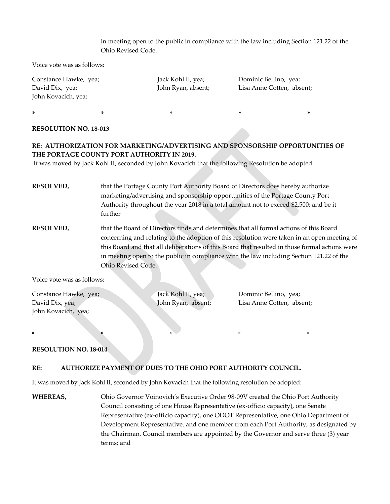### in meeting open to the public in compliance with the law including Section 121.22 of the Ohio Revised Code.

Voice vote was as follows:

| Constance Hawke, yea; | Jack Kohl II, yea; | Dominic Bellino, yea;     |
|-----------------------|--------------------|---------------------------|
| David Dix, yea;       | John Ryan, absent; | Lisa Anne Cotten, absent; |
| John Kovacich, yea;   |                    |                           |
|                       |                    |                           |

 $\ast$  \*  $\ast$  \*  $\ast$  \*  $\ast$  \*

#### **RESOLUTION NO. 18-013**

## **RE: AUTHORIZATION FOR MARKETING/ADVERTISING AND SPONSORSHIP OPPORTUNITIES OF THE PORTAGE COUNTY PORT AUTHORITY IN 2019.**

It was moved by Jack Kohl II, seconded by John Kovacich that the following Resolution be adopted:

**RESOLVED,** that the Portage County Port Authority Board of Directors does hereby authorize marketing/advertising and sponsorship opportunities of the Portage County Port Authority throughout the year 2018 in a total amount not to exceed \$2,500; and be it further

**RESOLVED,** that the Board of Directors finds and determines that all formal actions of this Board concerning and relating to the adoption of this resolution were taken in an open meeting of this Board and that all deliberations of this Board that resulted in those formal actions were in meeting open to the public in compliance with the law including Section 121.22 of the Ohio Revised Code.

Voice vote was as follows:

| Constance Hawke, yea; | Jack Kohl II, yea; | Dominic Bellino, yea;     |
|-----------------------|--------------------|---------------------------|
| David Dix, yea;       | John Ryan, absent; | Lisa Anne Cotten, absent; |
| John Kovacich, yea;   |                    |                           |

\* \* \* \* \*

#### **RESOLUTION NO. 18-014**

#### **RE: AUTHORIZE PAYMENT OF DUES TO THE OHIO PORT AUTHORITY COUNCIL.**

It was moved by Jack Kohl II, seconded by John Kovacich that the following resolution be adopted:

**WHEREAS,** Ohio Governor Voinovich's Executive Order 98-09V created the Ohio Port Authority Council consisting of one House Representative (ex-officio capacity), one Senate Representative (ex-officio capacity), one ODOT Representative, one Ohio Department of Development Representative, and one member from each Port Authority, as designated by the Chairman. Council members are appointed by the Governor and serve three (3) year terms; and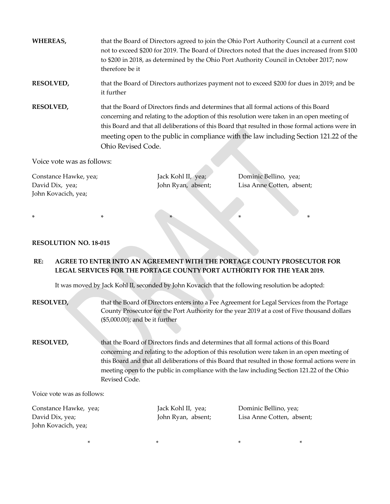| WHEREAS,         | that the Board of Directors agreed to join the Ohio Port Authority Council at a current cost<br>not to exceed \$200 for 2019. The Board of Directors noted that the dues increased from \$100<br>to \$200 in 2018, as determined by the Ohio Port Authority Council in October 2017; now<br>therefore be it                                                                                               |
|------------------|-----------------------------------------------------------------------------------------------------------------------------------------------------------------------------------------------------------------------------------------------------------------------------------------------------------------------------------------------------------------------------------------------------------|
| <b>RESOLVED,</b> | that the Board of Directors authorizes payment not to exceed \$200 for dues in 2019; and be<br>it further                                                                                                                                                                                                                                                                                                 |
| <b>RESOLVED,</b> | that the Board of Directors finds and determines that all formal actions of this Board<br>concerning and relating to the adoption of this resolution were taken in an open meeting of<br>this Board and that all deliberations of this Board that resulted in those formal actions were in<br>meeting open to the public in compliance with the law including Section 121.22 of the<br>Ohio Revised Code. |

Voice vote was as follows:

| Constance Hawke, yea; | Jack Kohl II, yea; | Dominic Bellino, yea;     |
|-----------------------|--------------------|---------------------------|
| David Dix, yea;       | John Ryan, absent; | Lisa Anne Cotten, absent; |
| John Kovacich, yea;   |                    |                           |
|                       |                    |                           |

\* \* \* \* \* \* \* \* \*

### **RESOLUTION NO. 18-015**

# **RE: AGREE TO ENTER INTO AN AGREEMENT WITH THE PORTAGE COUNTY PROSECUTOR FOR LEGAL SERVICES FOR THE PORTAGE COUNTY PORT AUTHORITY FOR THE YEAR 2019.**

It was moved by Jack Kohl II, seconded by John Kovacich that the following resolution be adopted:

| <b>RESOLVED,</b>                                 | that the Board of Directors enters into a Fee Agreement for Legal Services from the Portage<br>County Prosecutor for the Port Authority for the year 2019 at a cost of Five thousand dollars<br>$(\$5,000.00)$ ; and be it further                                                                                                                                                                        |
|--------------------------------------------------|-----------------------------------------------------------------------------------------------------------------------------------------------------------------------------------------------------------------------------------------------------------------------------------------------------------------------------------------------------------------------------------------------------------|
| <b>RESOLVED,</b>                                 | that the Board of Directors finds and determines that all formal actions of this Board<br>concerning and relating to the adoption of this resolution were taken in an open meeting of<br>this Board and that all deliberations of this Board that resulted in those formal actions were in<br>meeting open to the public in compliance with the law including Section 121.22 of the Ohio<br>Revised Code. |
| $\overline{M}$ ad aa soo ta soo aa aa fallasoon. |                                                                                                                                                                                                                                                                                                                                                                                                           |

Voice vote was as follows:

Constance Hawke, yea; Jack Kohl II, yea; Dominic Bellino, yea; John Kovacich, yea;

 $\star$  \*  $\star$  \*  $\star$  \*

David Dix, yea; John Ryan, absent; Lisa Anne Cotten, absent;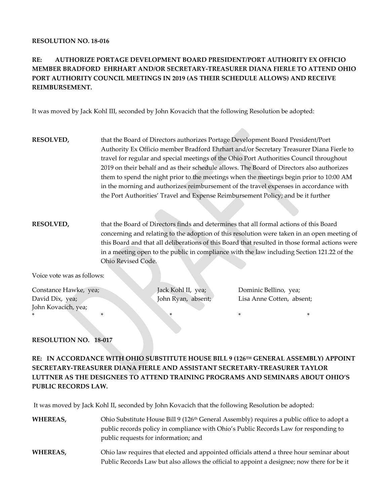#### **RESOLUTION NO. 18-016**

# **RE: AUTHORIZE PORTAGE DEVELOPMENT BOARD PRESIDENT/PORT AUTHORITY EX OFFICIO MEMBER BRADFORD EHRHART AND/OR SECRETARY-TREASURER DIANA FIERLE TO ATTEND OHIO PORT AUTHORITY COUNCIL MEETINGS IN 2019 (AS THEIR SCHEDULE ALLOWS) AND RECEIVE REIMBURSEMENT.**

It was moved by Jack Kohl III, seconded by John Kovacich that the following Resolution be adopted:

- **RESOLVED,** that the Board of Directors authorizes Portage Development Board President/Port Authority Ex Officio member Bradford Ehrhart and/or Secretary Treasurer Diana Fierle to travel for regular and special meetings of the Ohio Port Authorities Council throughout 2019 on their behalf and as their schedule allows. The Board of Directors also authorizes them to spend the night prior to the meetings when the meetings begin prior to 10:00 AM in the morning and authorizes reimbursement of the travel expenses in accordance with the Port Authorities' Travel and Expense Reimbursement Policy; and be it further
- **RESOLVED,** that the Board of Directors finds and determines that all formal actions of this Board concerning and relating to the adoption of this resolution were taken in an open meeting of this Board and that all deliberations of this Board that resulted in those formal actions were in a meeting open to the public in compliance with the law including Section 121.22 of the Ohio Revised Code.

Voice vote was as follows:

Constance Hawke, yea; Jack Kohl II, yea; Dominic Bellino, yea; John Kovacich, yea; \* \* \* \* \*

David Dix, yea; John Ryan, absent; Lisa Anne Cotten, absent;

#### **RESOLUTION NO. 18-017**

**RE: IN ACCORDANCE WITH OHIO SUBSTITUTE HOUSE BILL 9 (126TH GENERAL ASSEMBLY) APPOINT SECRETARY-TREASURER DIANA FIERLE AND ASSISTANT SECRETARY-TREASURER TAYLOR LUTTNER AS THE DESIGNEES TO ATTEND TRAINING PROGRAMS AND SEMINARS ABOUT OHIO'S PUBLIC RECORDS LAW.** 

It was moved by Jack Kohl II, seconded by John Kovacich that the following Resolution be adopted:

- WHEREAS, Ohio Substitute House Bill 9 (126<sup>th</sup> General Assembly) requires a public office to adopt a public records policy in compliance with Ohio's Public Records Law for responding to public requests for information; and
- **WHEREAS,** Ohio law requires that elected and appointed officials attend a three hour seminar about Public Records Law but also allows the official to appoint a designee; now there for be it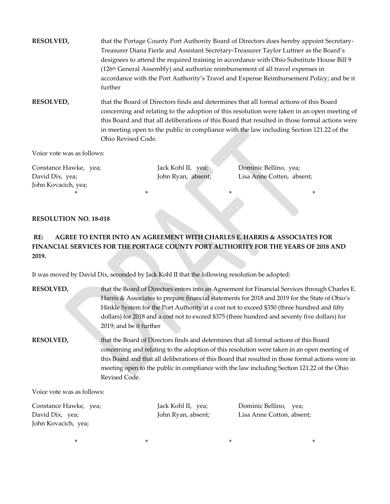**RESOLVED,** that the Portage County Port Authority Board of Directors does hereby appoint Secretary-Treasurer Diana Fierle and Assistant Secretary-Treasurer Taylor Luttner as the Board's designees to attend the required training in accordance with Ohio Substitute House Bill 9 (126th General Assembly) and authorize reimbursement of all travel expenses in accordance with the Port Authority's Travel and Expense Reimbursement Policy; and be it further

**RESOLVED,** that the Board of Directors finds and determines that all formal actions of this Board concerning and relating to the adoption of this resolution were taken in an open meeting of this Board and that all deliberations of this Board that resulted in those formal actions were in meeting open to the public in compliance with the law including Section 121.22 of the Ohio Revised Code.

Voice vote was as follows:

Constance Hawke, yea; Jack Kohl II, yea; Dominic Bellino, yea; John Kovacich, yea; \* \* \* \*

David Dix, yea; John Ryan, absent; Lisa Anne Cotten, absent;

#### **RESOLUTION NO. 18-018**

# **RE: AGREE TO ENTER INTO AN AGREEMENT WITH CHARLES E. HARRIS & ASSOCIATES FOR FINANCIAL SERVICES FOR THE PORTAGE COUNTY PORT AUTHORITY FOR THE YEARS OF 2018 AND 2019.**

It was moved by David Dix, seconded by Jack Kohl II that the following resolution be adopted:

| <b>RESOLVED,</b> | that the Board of Directors enters into an Agreement for Financial Services through Charles E.    |
|------------------|---------------------------------------------------------------------------------------------------|
|                  | Harris & Associates to prepare financial statements for 2018 and 2019 for the State of Ohio's     |
|                  | Hinkle System for the Port Authority at a cost not to exceed \$350 (three hundred and fifty       |
|                  | dollars) for 2018 and a cost not to exceed \$375 (three hundred and seventy five dollars) for     |
|                  | 2019; and be it further                                                                           |
| <b>RESOLVED,</b> | that the Board of Directors finds and determines that all formal actions of this Board            |
|                  | concerning and relating to the adoption of this resolution were taken in an open meeting of       |
|                  | this Board and that all deliberations of this Board that resulted in those formal actions were in |
|                  | meeting open to the public in compliance with the law including Section 121.22 of the Ohio        |
|                  | Revised Code.                                                                                     |
|                  |                                                                                                   |

Voice vote was as follows:

Constance Hawke, yea; Jack Kohl II, yea; Dominic Bellino, yea; John Kovacich, yea;

David Dix, yea; John Ryan, absent; Lisa Anne Cotton, absent;

 $\star$  \*  $\star$  \*  $\star$  \*  $\star$  \*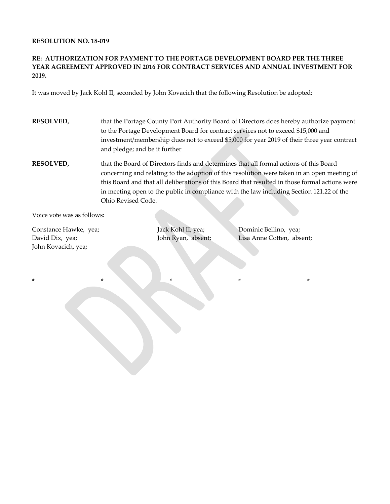#### **RESOLUTION NO. 18-019**

#### **RE: AUTHORIZATION FOR PAYMENT TO THE PORTAGE DEVELOPMENT BOARD PER THE THREE YEAR AGREEMENT APPROVED IN 2016 FOR CONTRACT SERVICES AND ANNUAL INVESTMENT FOR 2019.**

It was moved by Jack Kohl II, seconded by John Kovacich that the following Resolution be adopted:

- **RESOLVED,** that the Portage County Port Authority Board of Directors does hereby authorize payment to the Portage Development Board for contract services not to exceed \$15,000 and investment/membership dues not to exceed \$5,000 for year 2019 of their three year contract and pledge; and be it further
- **RESOLVED,** that the Board of Directors finds and determines that all formal actions of this Board concerning and relating to the adoption of this resolution were taken in an open meeting of this Board and that all deliberations of this Board that resulted in those formal actions were in meeting open to the public in compliance with the law including Section 121.22 of the Ohio Revised Code.

Voice vote was as follows:

Constance Hawke, yea; Jack Kohl II, yea; Dominic Bellino, yea; John Kovacich, yea;

\* \* \* \* \*

David Dix, yea; John Ryan, absent; Lisa Anne Cotten, absent;